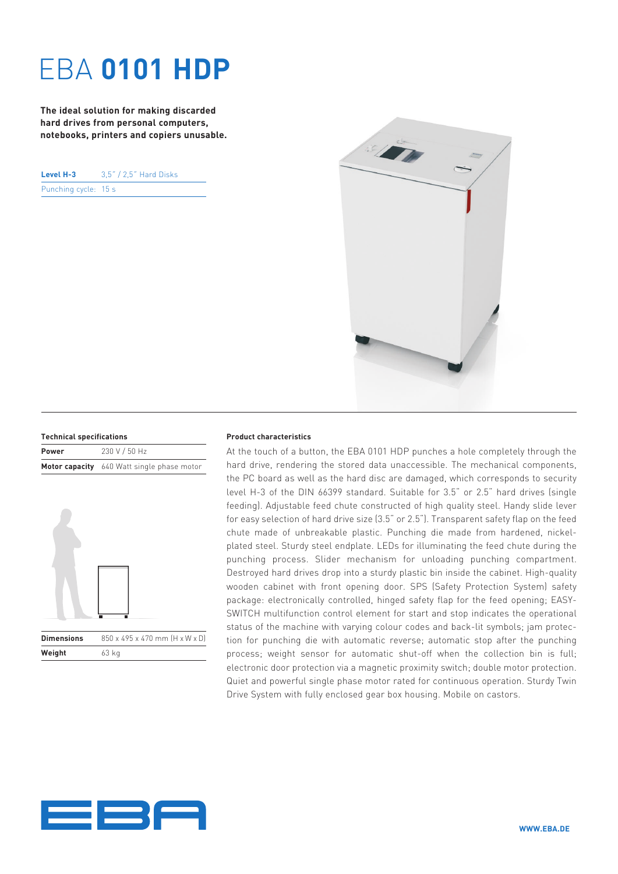## EBA **0101 HDP**

**The ideal solution for making discarded hard drives from personal computers, notebooks, printers and copiers unusable.**

**Level H-3** 3,5˝ / 2,5˝ Hard Disks Punching cycle: 15 s



| <b>Technical specifications</b> |                                                   |
|---------------------------------|---------------------------------------------------|
| Power                           | 230 V / 50 Hz                                     |
|                                 | <b>Motor capacity</b> 640 Watt single phase motor |



## **Product characteristics**

At the touch of a button, the EBA 0101 HDP punches a hole completely through the hard drive, rendering the stored data unaccessible. The mechanical components, the PC board as well as the hard disc are damaged, which corresponds to security level H-3 of the DIN 66399 standard. Suitable for 3.5" or 2.5" hard drives (single feeding). Adjustable feed chute constructed of high quality steel. Handy slide lever for easy selection of hard drive size (3.5" or 2.5"). Transparent safety flap on the feed chute made of unbreakable plastic. Punching die made from hardened, nickelplated steel. Sturdy steel endplate. LEDs for illuminating the feed chute during the punching process. Slider mechanism for unloading punching compartment. Destroyed hard drives drop into a sturdy plastic bin inside the cabinet. High-quality wooden cabinet with front opening door. SPS (Safety Protection System) safety package: electronically controlled, hinged safety flap for the feed opening; EASY-SWITCH multifunction control element for start and stop indicates the operational status of the machine with varying colour codes and back-lit symbols; jam protection for punching die with automatic reverse; automatic stop after the punching process; weight sensor for automatic shut-off when the collection bin is full; electronic door protection via a magnetic proximity switch; double motor protection. Quiet and powerful single phase motor rated for continuous operation. Sturdy Twin Drive System with fully enclosed gear box housing. Mobile on castors.